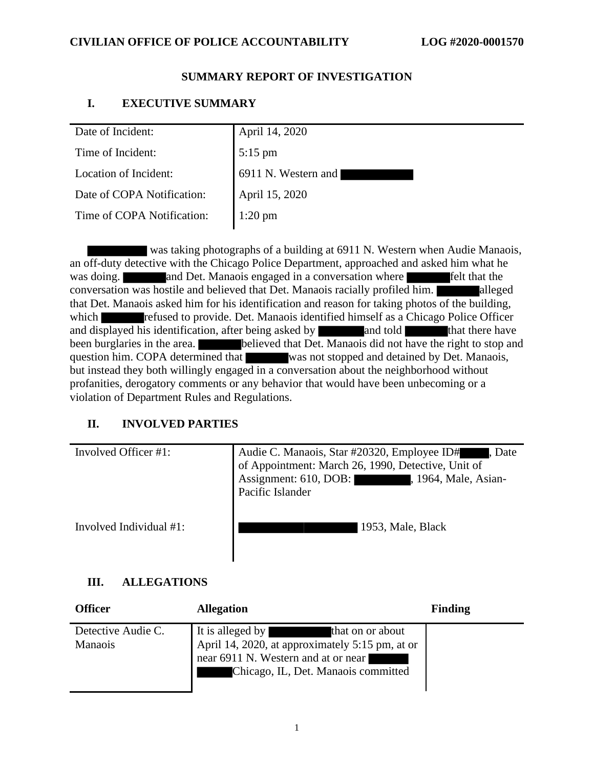## **CIVILIAN OFFICE OF POLICE ACCOUNTABILITY LOG #2020-0001570**

## **SUMMARY REPORT OF INVESTIGATION**

# **I. EXECUTIVE SUMMARY**

| Date of Incident:          | April 14, 2020      |
|----------------------------|---------------------|
| Time of Incident:          | $5:15$ pm           |
| Location of Incident:      | 6911 N. Western and |
| Date of COPA Notification: | April 15, 2020      |
| Time of COPA Notification: | $1:20$ pm           |
|                            |                     |

 was taking photographs of a building at 6911 N. Western when Audie Manaois, an off-duty detective with the Chicago Police Department, approached and asked him what he was doing. **and Det.** Manaois engaged in a conversation where **Felt** that the conversation was hostile and believed that Det. Manaois racially profiled him. alleged that Det. Manaois asked him for his identification and reason for taking photos of the building, which **refused to provide. Det. Manaois identified himself as a Chicago Police Officer** and displayed his identification, after being asked by and told that there have been burglaries in the area. **believed that Det. Manaois did not have the right to stop and** question him. COPA determined that was not stopped and detained by Det. Manaois, but instead they both willingly engaged in a conversation about the neighborhood without profanities, derogatory comments or any behavior that would have been unbecoming or a violation of Department Rules and Regulations.

# **II. INVOLVED PARTIES**

| Involved Officer #1:       | Audie C. Manaois, Star #20320, Employee ID#<br>, Date<br>of Appointment: March 26, 1990, Detective, Unit of<br>Assignment: 610, DOB:<br>, 1964, Male, Asian-<br><u>the property of the second second second second second second second second second second second second second second second second second second second second second second second second second second second second secon</u><br>Pacific Islander |
|----------------------------|--------------------------------------------------------------------------------------------------------------------------------------------------------------------------------------------------------------------------------------------------------------------------------------------------------------------------------------------------------------------------------------------------------------------------|
| Involved Individual $#1$ : | 1953, Male, Black                                                                                                                                                                                                                                                                                                                                                                                                        |

# **III. ALLEGATIONS**

| <b>Officer</b>                       | <b>Allegation</b>                                                                                                                                                     | <b>Finding</b> |
|--------------------------------------|-----------------------------------------------------------------------------------------------------------------------------------------------------------------------|----------------|
| Detective Audie C.<br><b>Manaois</b> | It is alleged by<br>that on or about<br>April 14, 2020, at approximately 5:15 pm, at or<br>near 6911 N. Western and at or near<br>Chicago, IL, Det. Manaois committed |                |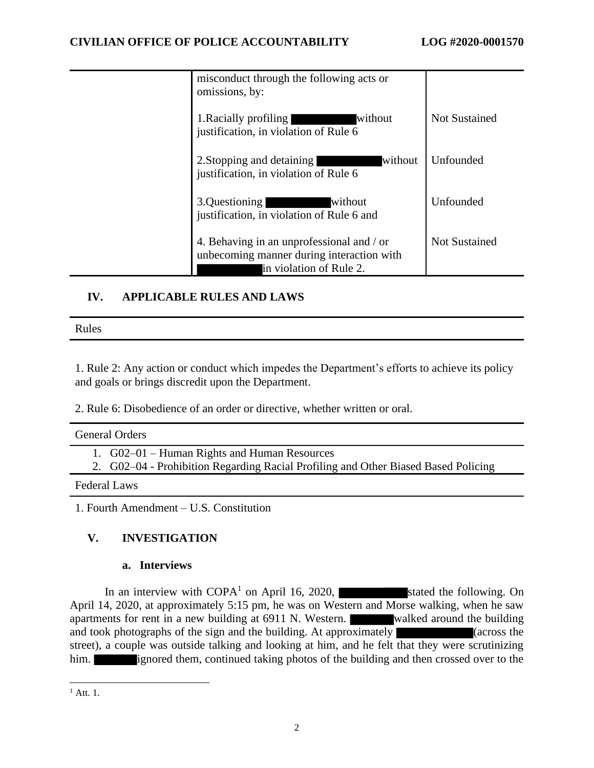| misconduct through the following acts or<br>omissions, by:                                                        |                      |
|-------------------------------------------------------------------------------------------------------------------|----------------------|
| 1. Racially profiling<br>without<br>justification, in violation of Rule 6                                         | <b>Not Sustained</b> |
| 2. Stopping and detaining<br>without<br>justification, in violation of Rule 6                                     | Unfounded            |
| 3.Questioning<br>without<br>justification, in violation of Rule 6 and                                             | Unfounded            |
| 4. Behaving in an unprofessional and / or<br>unbecoming manner during interaction with<br>in violation of Rule 2. | <b>Not Sustained</b> |

# **IV. APPLICABLE RULES AND LAWS**

Rules

1. Rule 2: Any action or conduct which impedes the Department's efforts to achieve its policy and goals or brings discredit upon the Department.

2. Rule 6: Disobedience of an order or directive, whether written or oral.

| <b>General Orders</b>                                                                                                              |
|------------------------------------------------------------------------------------------------------------------------------------|
| 1. G02–01 – Human Rights and Human Resources<br>2. G02–04 - Prohibition Regarding Racial Profiling and Other Biased Based Policing |
| <b>Federal Laws</b>                                                                                                                |
|                                                                                                                                    |

1. Fourth Amendment – U.S. Constitution

# **V. INVESTIGATION**

## **a. Interviews**

In an interview with  $\text{COPA}^1$  on April 16, 2020, stated the following. On April 14, 2020, at approximately 5:15 pm, he was on Western and Morse walking, when he saw apartments for rent in a new building at 6911 N. Western. walked around the building and took photographs of the sign and the building. At approximately (across the street), a couple was outside talking and looking at him, and he felt that they were scrutinizing him. **ignored them, continued taking photos of the building and then crossed over to the** 

 $^{1}$  Att. 1.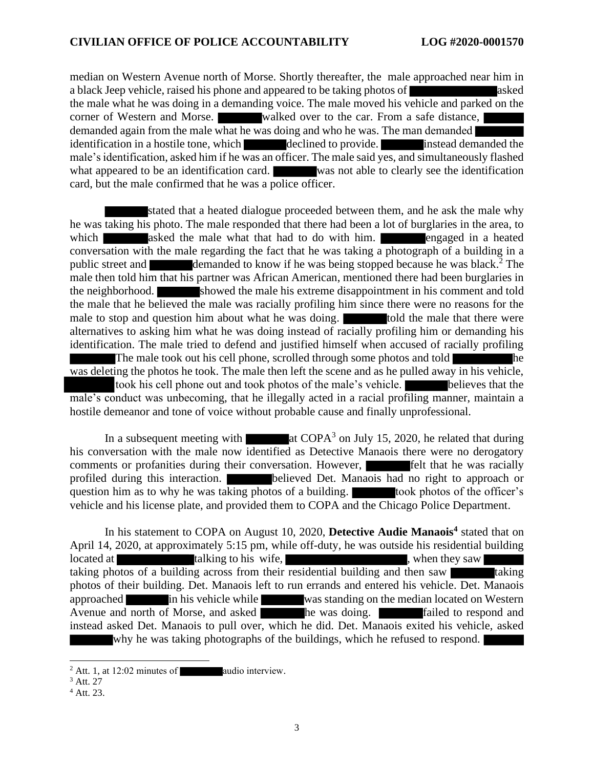#### **CIVILIAN OFFICE OF POLICE ACCOUNTABILITY LOG #2020-0001570**

median on Western Avenue north of Morse. Shortly thereafter, the male approached near him in a black Jeep vehicle, raised his phone and appeared to be taking photos of asked the male what he was doing in a demanding voice. The male moved his vehicle and parked on the corner of Western and Morse. Walked over to the car. From a safe distance, demanded again from the male what he was doing and who he was. The man demanded identification in a hostile tone, which declined to provide. **instead demanded the** male's identification, asked him if he was an officer. The male said yes, and simultaneously flashed what appeared to be an identification card. was not able to clearly see the identification card, but the male confirmed that he was a police officer.

stated that a heated dialogue proceeded between them, and he ask the male why he was taking his photo. The male responded that there had been a lot of burglaries in the area, to which asked the male what that had to do with him. engaged in a heated conversation with the male regarding the fact that he was taking a photograph of a building in a public street and demanded to know if he was being stopped because he was black.<sup>2</sup> The male then told him that his partner was African American, mentioned there had been burglaries in the neighborhood. Showed the male his extreme disappointment in his comment and told the male that he believed the male was racially profiling him since there were no reasons for the male to stop and question him about what he was doing. The told the male that there were alternatives to asking him what he was doing instead of racially profiling him or demanding his identification. The male tried to defend and justified himself when accused of racially profiling The male took out his cell phone, scrolled through some photos and told was deleting the photos he took. The male then left the scene and as he pulled away in his vehicle, took his cell phone out and took photos of the male's vehicle. **Show believes** that the male's conduct was unbecoming, that he illegally acted in a racial profiling manner, maintain a hostile demeanor and tone of voice without probable cause and finally unprofessional.

In a subsequent meeting with  $\blacksquare$  at COPA<sup>3</sup> on July 15, 2020, he related that during his conversation with the male now identified as Detective Manaois there were no derogatory comments or profanities during their conversation. However, felt that he was racially profiled during this interaction. believed Det. Manaois had no right to approach or question him as to why he was taking photos of a building. took photos of the officer's vehicle and his license plate, and provided them to COPA and the Chicago Police Department.

In his statement to COPA on August 10, 2020, **Detective Audie Manaois<sup>4</sup>** stated that on April 14, 2020, at approximately 5:15 pm, while off-duty, he was outside his residential building located at talking to his wife, when they saw taking photos of a building across from their residential building and then saw photos of their building. Det. Manaois left to run errands and entered his vehicle. Det. Manaois approached in his vehicle while was standing on the median located on Western Avenue and north of Morse, and asked **he was doing.** Failed to respond and instead asked Det. Manaois to pull over, which he did. Det. Manaois exited his vehicle, asked why he was taking photographs of the buildings, which he refused to respond.

 $2$  Att. 1, at 12:02 minutes of audio interview.

<sup>3</sup> Att. 27

<sup>4</sup> Att. 23.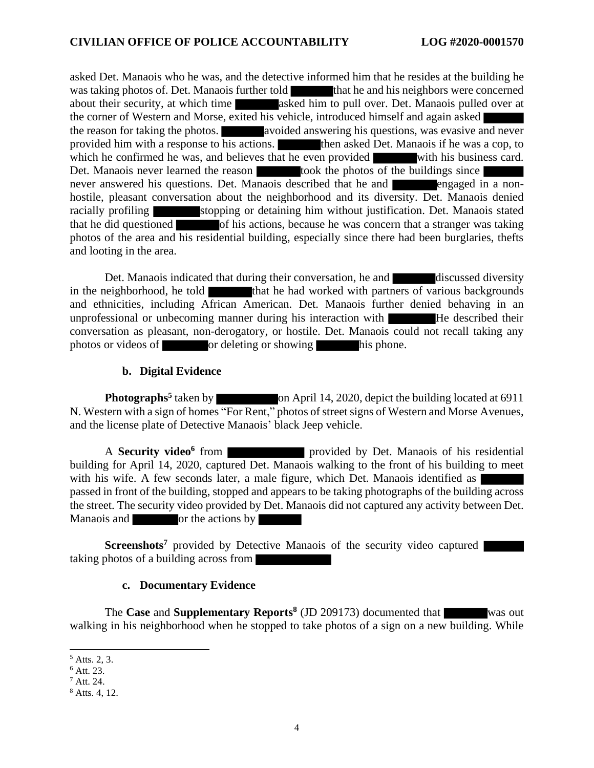asked Det. Manaois who he was, and the detective informed him that he resides at the building he was taking photos of. Det. Manaois further told that he and his neighbors were concerned about their security, at which time asked him to pull over. Det. Manaois pulled over at the corner of Western and Morse, exited his vehicle, introduced himself and again asked the reason for taking the photos. **At avoided answering his questions**, was evasive and never provided him with a response to his actions. then asked Det. Manaois if he was a cop, to which he confirmed he was, and believes that he even provided with his business card. Det. Manaois never learned the reason took the photos of the buildings since never answered his questions. Det. Manaois described that he and engaged in a nonhostile, pleasant conversation about the neighborhood and its diversity. Det. Manaois denied racially profiling stopping or detaining him without justification. Det. Manaois stated that he did questioned of his actions, because he was concern that a stranger was taking photos of the area and his residential building, especially since there had been burglaries, thefts and looting in the area.

Det. Manaois indicated that during their conversation, he and discussed diversity in the neighborhood, he told that he had worked with partners of various backgrounds and ethnicities, including African American. Det. Manaois further denied behaving in an unprofessional or unbecoming manner during his interaction with He described their conversation as pleasant, non-derogatory, or hostile. Det. Manaois could not recall taking any photos or videos of or deleting or showing his phone.

### **b. Digital Evidence**

**Photographs<sup>5</sup>** taken by on April 14, 2020, depict the building located at 6911 N. Western with a sign of homes "For Rent," photos of street signs of Western and Morse Avenues, and the license plate of Detective Manaois' black Jeep vehicle.

A **Security video<sup>6</sup>** from **provided** by Det. Manaois of his residential building for April 14, 2020, captured Det. Manaois walking to the front of his building to meet with his wife. A few seconds later, a male figure, which Det. Manaois identified as passed in front of the building, stopped and appears to be taking photographs of the building across the street. The security video provided by Det. Manaois did not captured any activity between Det. Manaois and or the actions by

**Screenshots<sup>7</sup>** provided by Detective Manaois of the security video captured taking photos of a building across from

#### **c. Documentary Evidence**

The **Case** and **Supplementary Reports 8** (JD 209173) documented that was out walking in his neighborhood when he stopped to take photos of a sign on a new building. While

 $<sup>5</sup>$  Atts. 2, 3.</sup>

 $6$  Att. 23.

<sup>7</sup> Att. 24.

<sup>8</sup> Atts. 4, 12.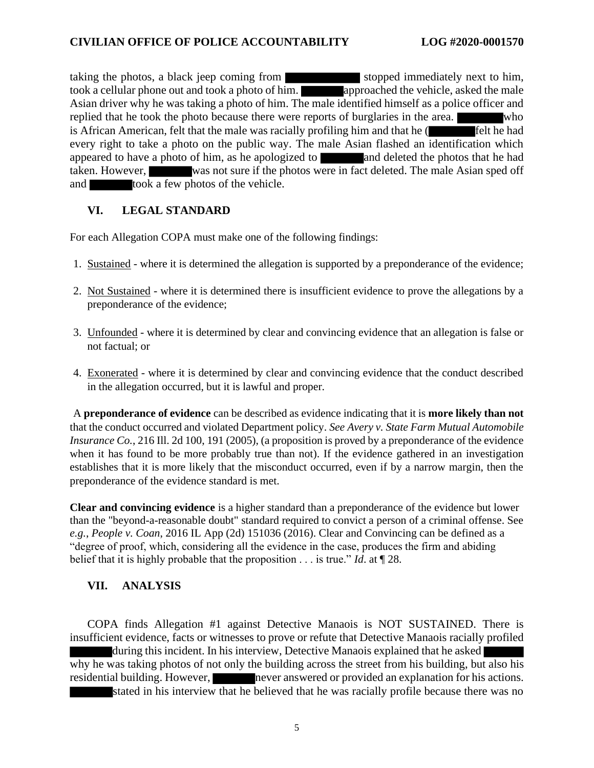taking the photos, a black jeep coming from stopped immediately next to him, took a cellular phone out and took a photo of him. approached the vehicle, asked the male Asian driver why he was taking a photo of him. The male identified himself as a police officer and replied that he took the photo because there were reports of burglaries in the area. who is African American, felt that the male was racially profiling him and that he  $($  felt he had every right to take a photo on the public way. The male Asian flashed an identification which appeared to have a photo of him, as he apologized to and deleted the photos that he had taken. However, was not sure if the photos were in fact deleted. The male Asian sped off and took a few photos of the vehicle.

## **VI. LEGAL STANDARD**

For each Allegation COPA must make one of the following findings:

- 1. Sustained where it is determined the allegation is supported by a preponderance of the evidence;
- 2. Not Sustained where it is determined there is insufficient evidence to prove the allegations by a preponderance of the evidence;
- 3. Unfounded where it is determined by clear and convincing evidence that an allegation is false or not factual; or
- 4. Exonerated where it is determined by clear and convincing evidence that the conduct described in the allegation occurred, but it is lawful and proper.

A **preponderance of evidence** can be described as evidence indicating that it is **more likely than not** that the conduct occurred and violated Department policy. *See Avery v. State Farm Mutual Automobile Insurance Co.*, 216 Ill. 2d 100, 191 (2005), (a proposition is proved by a preponderance of the evidence when it has found to be more probably true than not). If the evidence gathered in an investigation establishes that it is more likely that the misconduct occurred, even if by a narrow margin, then the preponderance of the evidence standard is met.

**Clear and convincing evidence** is a higher standard than a preponderance of the evidence but lower than the "beyond-a-reasonable doubt" standard required to convict a person of a criminal offense. See *e.g.*, *People v. Coan*, 2016 IL App (2d) 151036 (2016). Clear and Convincing can be defined as a "degree of proof, which, considering all the evidence in the case, produces the firm and abiding belief that it is highly probable that the proposition . . . is true." *Id*. at ¶ 28.

# **VII. ANALYSIS**

COPA finds Allegation #1 against Detective Manaois is NOT SUSTAINED. There is insufficient evidence, facts or witnesses to prove or refute that Detective Manaois racially profiled during this incident. In his interview, Detective Manaois explained that he asked why he was taking photos of not only the building across the street from his building, but also his residential building. However, never answered or provided an explanation for his actions. stated in his interview that he believed that he was racially profile because there was no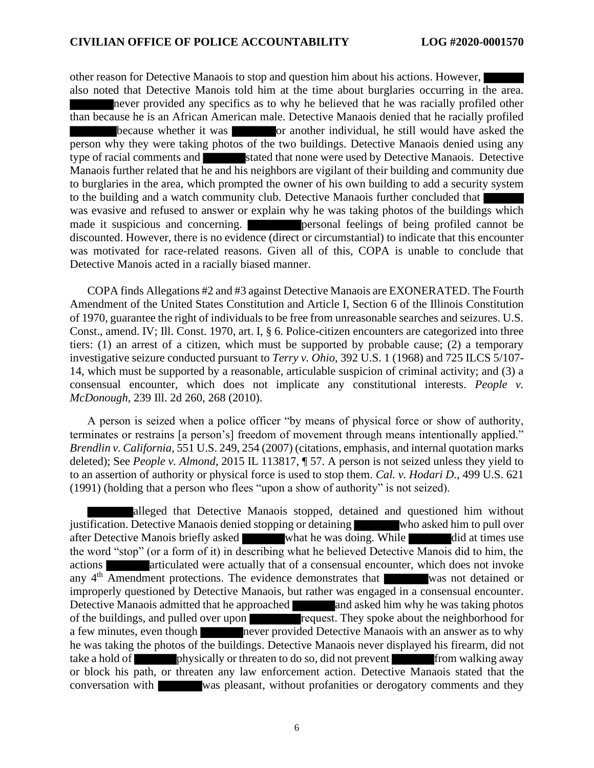other reason for Detective Manaois to stop and question him about his actions. However, also noted that Detective Manois told him at the time about burglaries occurring in the area. never provided any specifics as to why he believed that he was racially profiled other than because he is an African American male. Detective Manaois denied that he racially profiled because whether it was or another individual, he still would have asked the person why they were taking photos of the two buildings. Detective Manaois denied using any type of racial comments and stated that none were used by Detective Manaois. Detective Manaois further related that he and his neighbors are vigilant of their building and community due to burglaries in the area, which prompted the owner of his own building to add a security system to the building and a watch community club. Detective Manaois further concluded that was evasive and refused to answer or explain why he was taking photos of the buildings which made it suspicious and concerning. **personal feelings of being profiled cannot be** discounted. However, there is no evidence (direct or circumstantial) to indicate that this encounter was motivated for race-related reasons. Given all of this, COPA is unable to conclude that Detective Manois acted in a racially biased manner.

COPA finds Allegations #2 and #3 against Detective Manaois are EXONERATED. The Fourth Amendment of the United States Constitution and Article I, Section 6 of the Illinois Constitution of 1970, guarantee the right of individuals to be free from unreasonable searches and seizures. U.S. Const., amend. IV; Ill. Const. 1970, art. I, § 6. Police-citizen encounters are categorized into three tiers: (1) an arrest of a citizen, which must be supported by probable cause; (2) a temporary investigative seizure conducted pursuant to *Terry v. Ohio*, 392 U.S. 1 (1968) and 725 ILCS 5/107- 14, which must be supported by a reasonable, articulable suspicion of criminal activity; and (3) a consensual encounter, which does not implicate any constitutional interests. *People v. McDonough*, 239 Ill. 2d 260, 268 (2010).

A person is seized when a police officer "by means of physical force or show of authority, terminates or restrains [a person's] freedom of movement through means intentionally applied." *Brendlin v. California*, 551 U.S. 249, 254 (2007) (citations, emphasis, and internal quotation marks deleted); See *People v. Almond*, 2015 IL 113817, ¶ 57. A person is not seized unless they yield to to an assertion of authority or physical force is used to stop them. *Cal. v. Hodari D.*, 499 U.S. 621 (1991) (holding that a person who flees "upon a show of authority" is not seized).

alleged that Detective Manaois stopped, detained and questioned him without Detective Manaois denied stopping or detaining justification. Detective Manaois denied stopping or detaining after Detective Manois briefly asked what he was doing. While did at times use the word "stop" (or a form of it) in describing what he believed Detective Manois did to him, the actions **articulated were actually that of a consensual encounter, which does not invoke** any 4<sup>th</sup> Amendment protections. The evidence demonstrates that was not detained or improperly questioned by Detective Manaois, but rather was engaged in a consensual encounter. Detective Manaois admitted that he approached and asked him why he was taking photos of the buildings, and pulled over upon request. They spoke about the neighborhood for a few minutes, even though never provided Detective Manaois with an answer as to why he was taking the photos of the buildings. Detective Manaois never displayed his firearm, did not take a hold of physically or threaten to do so, did not prevent from walking away or block his path, or threaten any law enforcement action. Detective Manaois stated that the conversation with was pleasant, without profanities or derogatory comments and they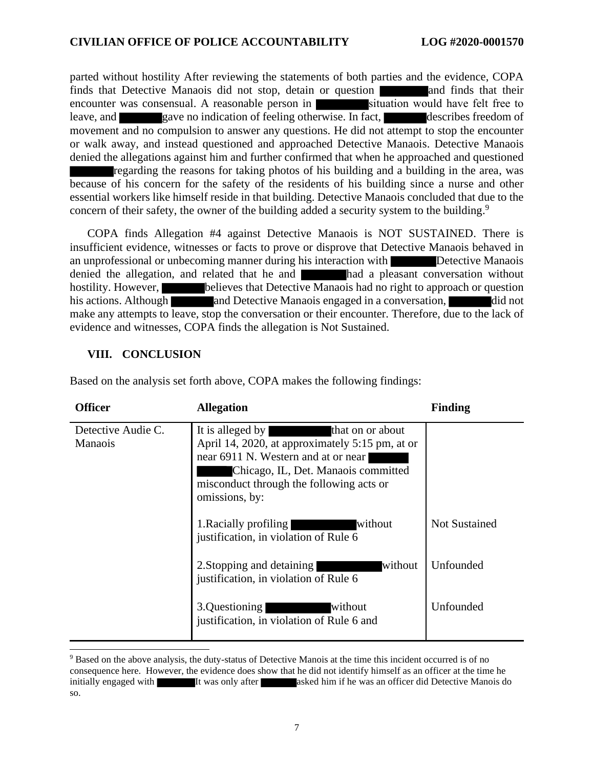parted without hostility After reviewing the statements of both parties and the evidence, COPA finds that Detective Manaois did not stop, detain or question and finds that their encounter was consensual. A reasonable person in situation would have felt free to leave, and gave no indication of feeling otherwise. In fact, describes freedom of movement and no compulsion to answer any questions. He did not attempt to stop the encounter or walk away, and instead questioned and approached Detective Manaois. Detective Manaois denied the allegations against him and further confirmed that when he approached and questioned regarding the reasons for taking photos of his building and a building in the area, was because of his concern for the safety of the residents of his building since a nurse and other essential workers like himself reside in that building. Detective Manaois concluded that due to the concern of their safety, the owner of the building added a security system to the building.<sup>9</sup>

COPA finds Allegation #4 against Detective Manaois is NOT SUSTAINED. There is insufficient evidence, witnesses or facts to prove or disprove that Detective Manaois behaved in an unprofessional or unbecoming manner during his interaction with Detective Manaois denied the allegation, and related that he and had a pleasant conversation without hostility. However, believes that Detective Manaois had no right to approach or question his actions. Although and Detective Manaois engaged in a conversation, did not make any attempts to leave, stop the conversation or their encounter. Therefore, due to the lack of evidence and witnesses, COPA finds the allegation is Not Sustained.

## **VIII. CONCLUSION**

Based on the analysis set forth above, COPA makes the following findings:

| <b>Officer</b>                       | <b>Allegation</b>                                                                                                                                                                                                                   | <b>Finding</b>       |
|--------------------------------------|-------------------------------------------------------------------------------------------------------------------------------------------------------------------------------------------------------------------------------------|----------------------|
| Detective Audie C.<br><b>Manaois</b> | It is alleged by<br>that on or about<br>April 14, 2020, at approximately 5:15 pm, at or<br>near 6911 N. Western and at or near<br>Chicago, IL, Det. Manaois committed<br>misconduct through the following acts or<br>omissions, by: |                      |
|                                      | 1. Racially profiling<br>without<br>justification, in violation of Rule 6                                                                                                                                                           | <b>Not Sustained</b> |
|                                      | without<br>2. Stopping and detaining<br>justification, in violation of Rule 6                                                                                                                                                       | Unfounded            |
|                                      | 3.Questioning<br>without<br>justification, in violation of Rule 6 and                                                                                                                                                               | Unfounded            |

<sup>9</sup> Based on the above analysis, the duty-status of Detective Manois at the time this incident occurred is of no consequence here. However, the evidence does show that he did not identify himself as an officer at the time he initially engaged with It was only after asked him if he was an officer did Detective Manois do so.